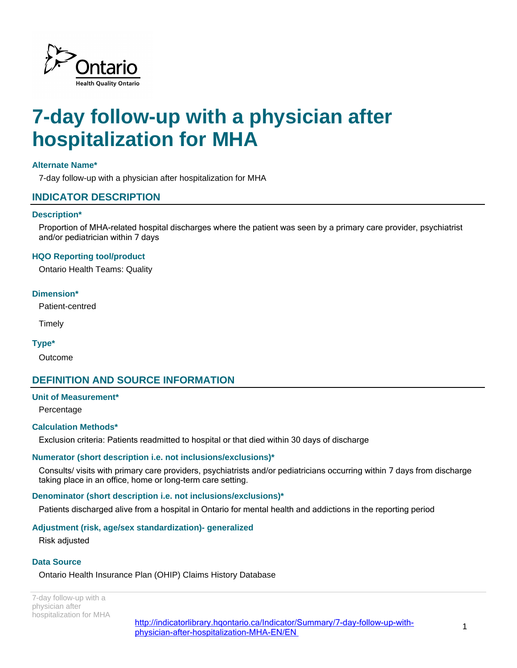

# **7-day follow-up with a physician after hospitalization for MHA**

## **Alternate Name\***

7-day follow-up with a physician after hospitalization for MHA

## **INDICATOR DESCRIPTION**

#### **Description\***

Proportion of MHA-related hospital discharges where the patient was seen by a primary care provider, psychiatrist and/or pediatrician within 7 days

#### **HQO Reporting tool/product**

Ontario Health Teams: Quality

#### **Dimension\***

Patient-centred

**Timely** 

#### **Type\***

Outcome

# **DEFINITION AND SOURCE INFORMATION**

#### **Unit of Measurement\***

Percentage

#### **Calculation Methods\***

Exclusion criteria: Patients readmitted to hospital or that died within 30 days of discharge

#### **Numerator (short description i.e. not inclusions/exclusions)\***

Consults/ visits with primary care providers, psychiatrists and/or pediatricians occurring within 7 days from discharge taking place in an office, home or long-term care setting.

#### **Denominator (short description i.e. not inclusions/exclusions)\***

Patients discharged alive from a hospital in Ontario for mental health and addictions in the reporting period

#### **Adjustment (risk, age/sex standardization)- generalized**

Risk adjusted

#### **Data Source**

Ontario Health Insurance Plan (OHIP) Claims History Database